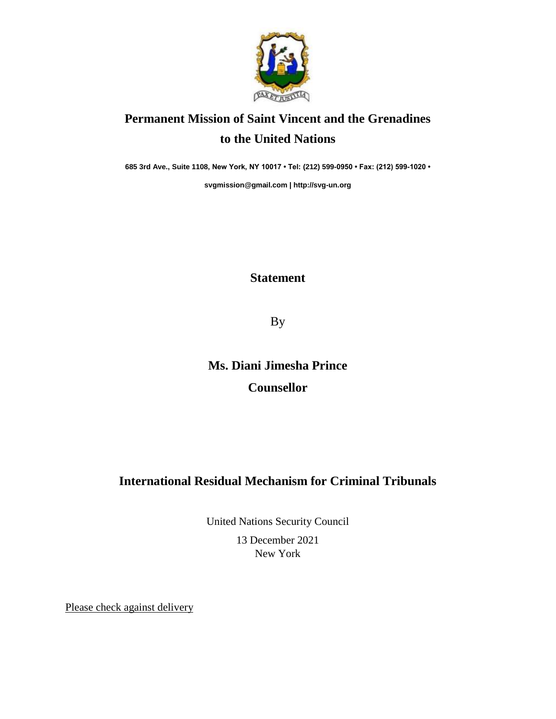

## **Permanent Mission of Saint Vincent and the Grenadines to the United Nations**

**685 3rd Ave., Suite 1108, New York, NY 10017 • Tel: (212) 599-0950 • Fax: (212) 599-1020 •** 

**[svgmission@gmail.com](mailto:svgmission@gmail.com) [| http://svg-un.org](http://svg-un.org/)**

## **Statement**

By

**Ms. Diani Jimesha Prince Counsellor** 

## **International Residual Mechanism for Criminal Tribunals**

United Nations Security Council 13 December 2021 New York

Please check against delivery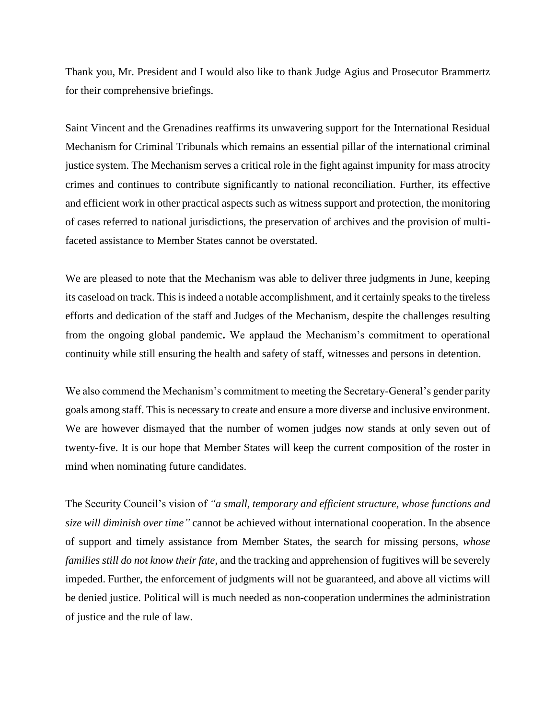Thank you, Mr. President and I would also like to thank Judge Agius and Prosecutor Brammertz for their comprehensive briefings.

Saint Vincent and the Grenadines reaffirms its unwavering support for the International Residual Mechanism for Criminal Tribunals which remains an essential pillar of the international criminal justice system. The Mechanism serves a critical role in the fight against impunity for mass atrocity crimes and continues to contribute significantly to national reconciliation. Further, its effective and efficient work in other practical aspects such as witness support and protection, the monitoring of cases referred to national jurisdictions, the preservation of archives and the provision of multifaceted assistance to Member States cannot be overstated.

We are pleased to note that the Mechanism was able to deliver three judgments in June, keeping its caseload on track. This is indeed a notable accomplishment, and it certainly speaks to the tireless efforts and dedication of the staff and Judges of the Mechanism, despite the challenges resulting from the ongoing global pandemic**.** We applaud the Mechanism's commitment to operational continuity while still ensuring the health and safety of staff, witnesses and persons in detention.

We also commend the Mechanism's commitment to meeting the Secretary-General's gender parity goals among staff. This is necessary to create and ensure a more diverse and inclusive environment. We are however dismayed that the number of women judges now stands at only seven out of twenty-five. It is our hope that Member States will keep the current composition of the roster in mind when nominating future candidates.

The Security Council's vision of *"a small, temporary and efficient structure, whose functions and size will diminish over time"* cannot be achieved without international cooperation. In the absence of support and timely assistance from Member States, the search for missing persons, *whose families still do not know their fate*, and the tracking and apprehension of fugitives will be severely impeded. Further, the enforcement of judgments will not be guaranteed, and above all victims will be denied justice. Political will is much needed as non-cooperation undermines the administration of justice and the rule of law.